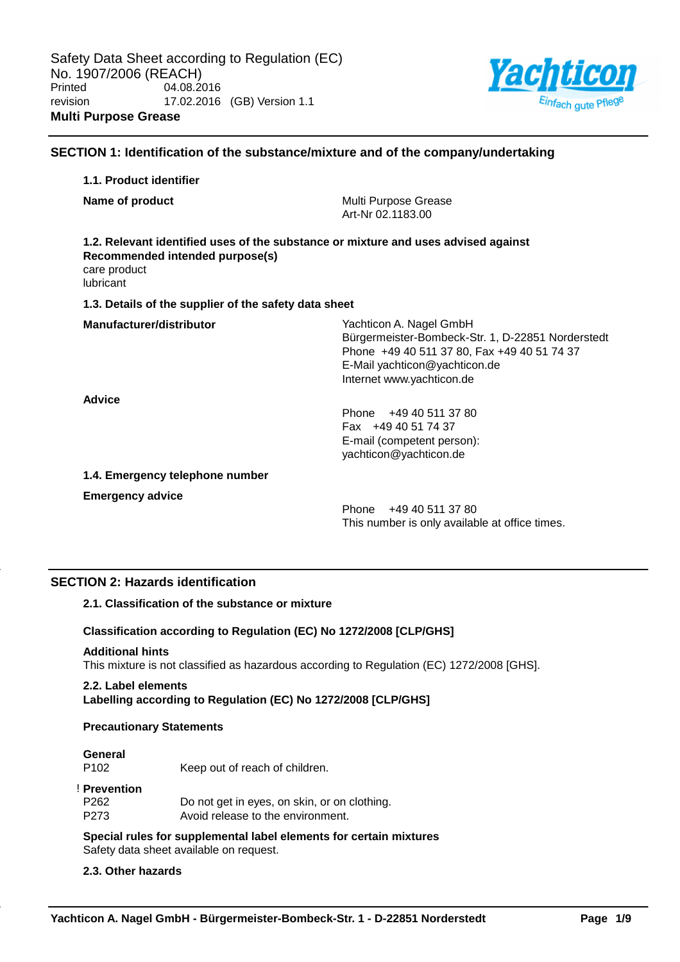

# **SECTION 1: Identification of the substance/mixture and of the company/undertaking 1.1. Product identifier Name of product** Multi Purpose Grease Art-Nr 02.1183.00 **1.2. Relevant identified uses of the substance or mixture and uses advised against Recommended intended purpose(s)** care product lubricant **1.3. Details of the supplier of the safety data sheet Manufacturer/distributor** Manufacturer/distributor **Nagel GmbH** Bürgermeister-Bombeck-Str. 1, D-22851 Norderstedt Phone +49 40 511 37 80, Fax +49 40 51 74 37 E-Mail yachticon@yachticon.de Internet www.yachticon.de **Advice** Phone +49 40 511 37 80 Fax +49 40 51 74 37 E-mail (competent person): yachticon@yachticon.de **1.4. Emergency telephone number Emergency advice**

Phone +49 40 511 37 80 This number is only available at office times.

# **SECTION 2: Hazards identification**

# **2.1. Classification of the substance or mixture**

## **Classification according to Regulation (EC) No 1272/2008 [CLP/GHS]**

## **Additional hints**

This mixture is not classified as hazardous according to Regulation (EC) 1272/2008 [GHS].

# **2.2. Label elements**

**Labelling according to Regulation (EC) No 1272/2008 [CLP/GHS]**

## **Precautionary Statements**

# **General**

P102 Keep out of reach of children.

## ! **Prevention**

| P262  | Do not get in eyes, on skin, or on clothing. |
|-------|----------------------------------------------|
| P273. | Avoid release to the environment.            |

**Special rules for supplemental label elements for certain mixtures** Safety data sheet available on request.

# **2.3. Other hazards**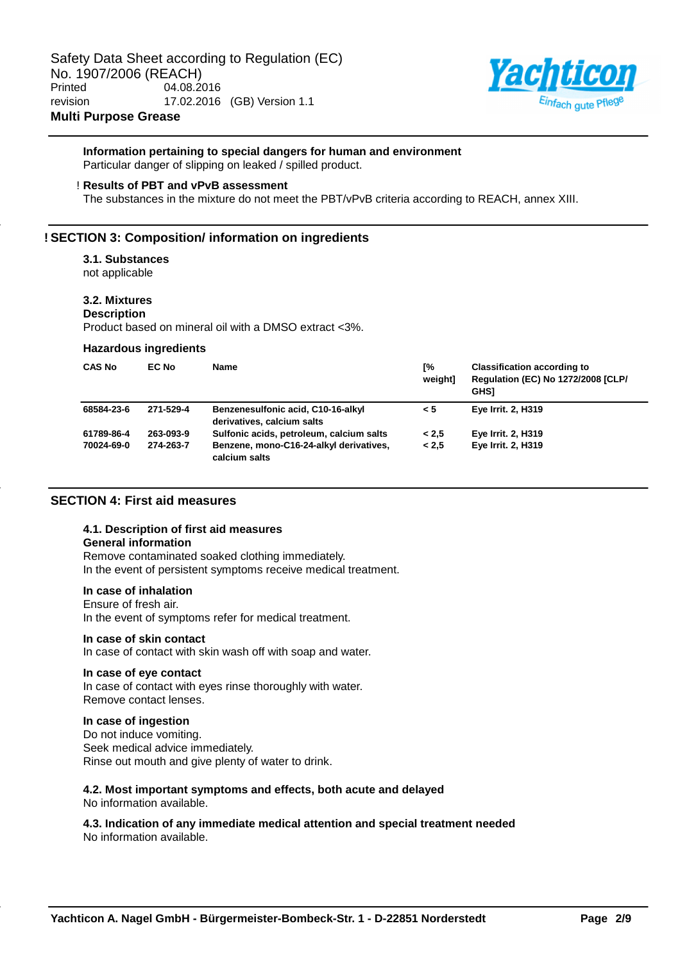

# **Information pertaining to special dangers for human and environment**

Particular danger of slipping on leaked / spilled product.

### ! **Results of PBT and vPvB assessment**

The substances in the mixture do not meet the PBT/vPvB criteria according to REACH, annex XIII.

# **! SECTION 3: Composition/ information on ingredients**

## **3.1. Substances**

not applicable

# **3.2. Mixtures**

**Description**

Product based on mineral oil with a DMSO extract <3%.

### **Hazardous ingredients**

| <b>CAS No</b> | EC No     | <b>Name</b>                                                      | Г%<br>weightl | <b>Classification according to</b><br><b>Regulation (EC) No 1272/2008 [CLP/</b><br><b>GHS1</b> |
|---------------|-----------|------------------------------------------------------------------|---------------|------------------------------------------------------------------------------------------------|
| 68584-23-6    | 271-529-4 | Benzenesulfonic acid, C10-16-alkyl<br>derivatives, calcium salts | < 5           | <b>Eye Irrit. 2, H319</b>                                                                      |
| 61789-86-4    | 263-093-9 | Sulfonic acids, petroleum, calcium salts                         | < 2.5         | Eye Irrit. 2, H319                                                                             |
| 70024-69-0    | 274-263-7 | Benzene, mono-C16-24-alkyl derivatives,<br>calcium salts         | < 2.5         | <b>Eye Irrit. 2, H319</b>                                                                      |

## **SECTION 4: First aid measures**

## **4.1. Description of first aid measures**

# **General information**

Remove contaminated soaked clothing immediately. In the event of persistent symptoms receive medical treatment.

# **In case of inhalation**

Ensure of fresh air. In the event of symptoms refer for medical treatment.

## **In case of skin contact**

In case of contact with skin wash off with soap and water.

### **In case of eye contact**

In case of contact with eyes rinse thoroughly with water. Remove contact lenses.

# **In case of ingestion**

Do not induce vomiting. Seek medical advice immediately. Rinse out mouth and give plenty of water to drink.

### **4.2. Most important symptoms and effects, both acute and delayed** No information available.

**4.3. Indication of any immediate medical attention and special treatment needed** No information available.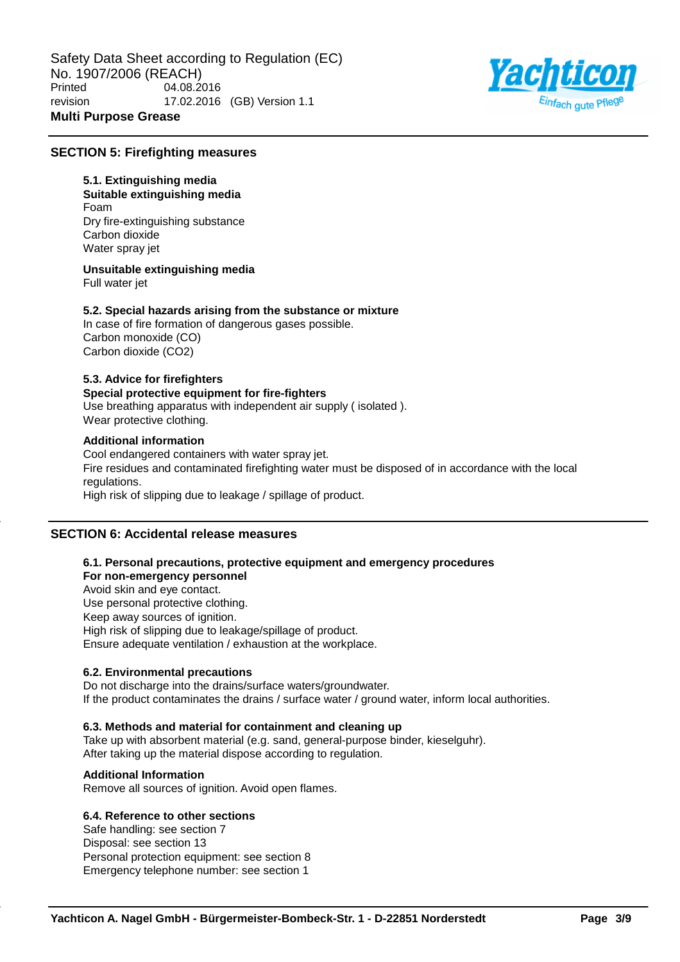

# **SECTION 5: Firefighting measures**

# **5.1. Extinguishing media**

**Suitable extinguishing media** Foam Dry fire-extinguishing substance Carbon dioxide Water spray jet

**Unsuitable extinguishing media**

Full water jet

## **5.2. Special hazards arising from the substance or mixture**

In case of fire formation of dangerous gases possible. Carbon monoxide (CO) Carbon dioxide (CO2)

# **5.3. Advice for firefighters**

**Special protective equipment for fire-fighters** Use breathing apparatus with independent air supply ( isolated ). Wear protective clothing.

## **Additional information**

Cool endangered containers with water spray jet. Fire residues and contaminated firefighting water must be disposed of in accordance with the local regulations. High risk of slipping due to leakage / spillage of product.

# **SECTION 6: Accidental release measures**

# **6.1. Personal precautions, protective equipment and emergency procedures**

**For non-emergency personnel** Avoid skin and eye contact. Use personal protective clothing. Keep away sources of ignition. High risk of slipping due to leakage/spillage of product. Ensure adequate ventilation / exhaustion at the workplace.

# **6.2. Environmental precautions**

Do not discharge into the drains/surface waters/groundwater. If the product contaminates the drains / surface water / ground water, inform local authorities.

## **6.3. Methods and material for containment and cleaning up**

Take up with absorbent material (e.g. sand, general-purpose binder, kieselguhr). After taking up the material dispose according to regulation.

# **Additional Information**

Remove all sources of ignition. Avoid open flames.

# **6.4. Reference to other sections**

Safe handling: see section 7 Disposal: see section 13 Personal protection equipment: see section 8 Emergency telephone number: see section 1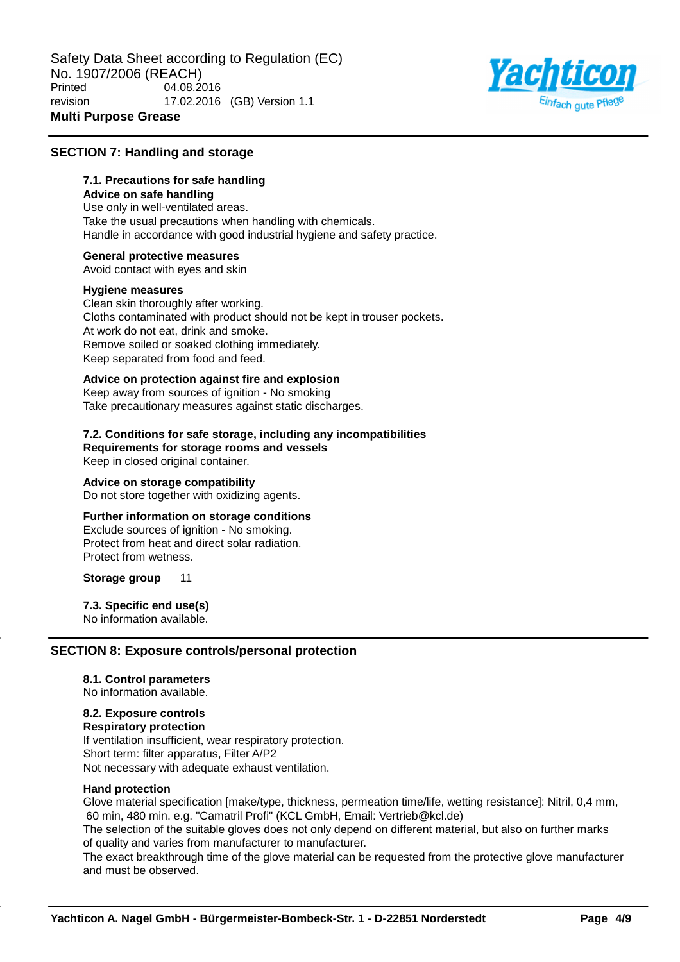

# **SECTION 7: Handling and storage**

# **7.1. Precautions for safe handling**

**Advice on safe handling** Use only in well-ventilated areas. Take the usual precautions when handling with chemicals. Handle in accordance with good industrial hygiene and safety practice.

## **General protective measures**

Avoid contact with eyes and skin

## **Hygiene measures**

Clean skin thoroughly after working. Cloths contaminated with product should not be kept in trouser pockets. At work do not eat, drink and smoke. Remove soiled or soaked clothing immediately. Keep separated from food and feed.

## **Advice on protection against fire and explosion**

Keep away from sources of ignition - No smoking Take precautionary measures against static discharges.

# **7.2. Conditions for safe storage, including any incompatibilities Requirements for storage rooms and vessels**

Keep in closed original container.

### **Advice on storage compatibility**

Do not store together with oxidizing agents.

# **Further information on storage conditions**

Exclude sources of ignition - No smoking. Protect from heat and direct solar radiation. Protect from wetness.

**Storage group** 11

# **7.3. Specific end use(s)**

No information available.

## **SECTION 8: Exposure controls/personal protection**

## **8.1. Control parameters**

No information available.

# **8.2. Exposure controls**

**Respiratory protection** If ventilation insufficient, wear respiratory protection. Short term: filter apparatus, Filter A/P2 Not necessary with adequate exhaust ventilation.

## **Hand protection**

Glove material specification [make/type, thickness, permeation time/life, wetting resistance]: Nitril, 0,4 mm, 60 min, 480 min. e.g. "Camatril Profi" (KCL GmbH, Email: Vertrieb@kcl.de)

The selection of the suitable gloves does not only depend on different material, but also on further marks of quality and varies from manufacturer to manufacturer.

The exact breakthrough time of the glove material can be requested from the protective glove manufacturer and must be observed.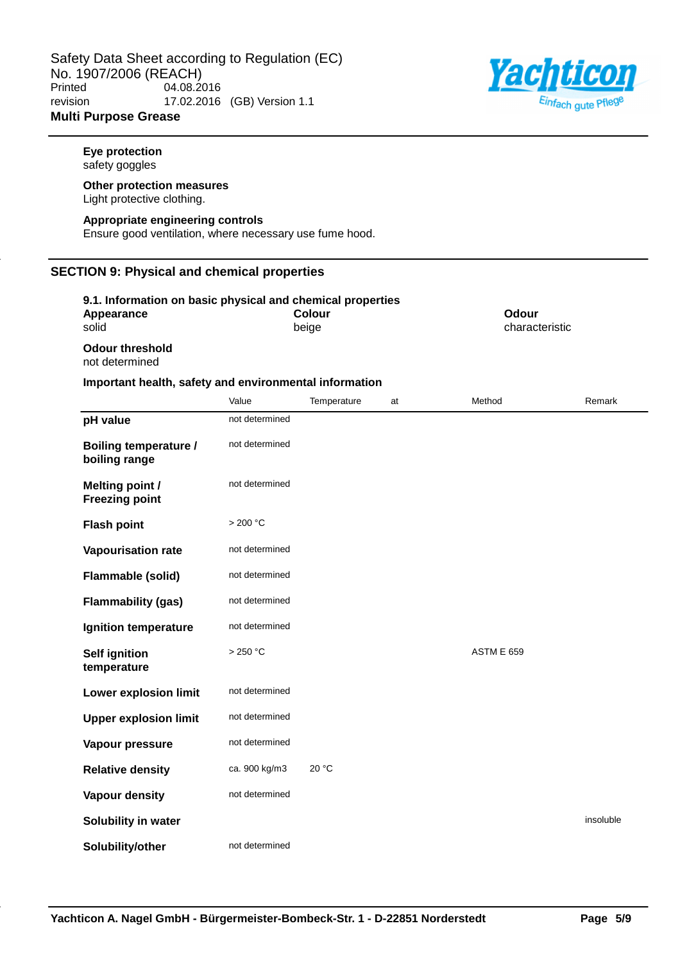

**Eye protection** safety goggles

### **Other protection measures** Light protective clothing.

### **Appropriate engineering controls**

Ensure good ventilation, where necessary use fume hood.

# **SECTION 9: Physical and chemical properties**

| 9.1. Information on basic physical and chemical properties |        |                |  |
|------------------------------------------------------------|--------|----------------|--|
| Appearance                                                 | Colour | Odour          |  |
| solid                                                      | beige  | characteristic |  |
| <b>Odour threshold</b><br>not determined                   |        |                |  |

# **Important health, safety and environmental information**

|                                                 | Value            | Temperature | at | Method            | Remark    |
|-------------------------------------------------|------------------|-------------|----|-------------------|-----------|
| pH value                                        | not determined   |             |    |                   |           |
| <b>Boiling temperature /</b><br>boiling range   | not determined   |             |    |                   |           |
| <b>Melting point /</b><br><b>Freezing point</b> | not determined   |             |    |                   |           |
| <b>Flash point</b>                              | $>200\text{ °C}$ |             |    |                   |           |
| <b>Vapourisation rate</b>                       | not determined   |             |    |                   |           |
| Flammable (solid)                               | not determined   |             |    |                   |           |
| <b>Flammability (gas)</b>                       | not determined   |             |    |                   |           |
| Ignition temperature                            | not determined   |             |    |                   |           |
| <b>Self ignition</b><br>temperature             | >250 °C          |             |    | <b>ASTM E 659</b> |           |
| <b>Lower explosion limit</b>                    | not determined   |             |    |                   |           |
| <b>Upper explosion limit</b>                    | not determined   |             |    |                   |           |
| Vapour pressure                                 | not determined   |             |    |                   |           |
| <b>Relative density</b>                         | ca. 900 kg/m3    | 20 °C       |    |                   |           |
| <b>Vapour density</b>                           | not determined   |             |    |                   |           |
| Solubility in water                             |                  |             |    |                   | insoluble |
| Solubility/other                                | not determined   |             |    |                   |           |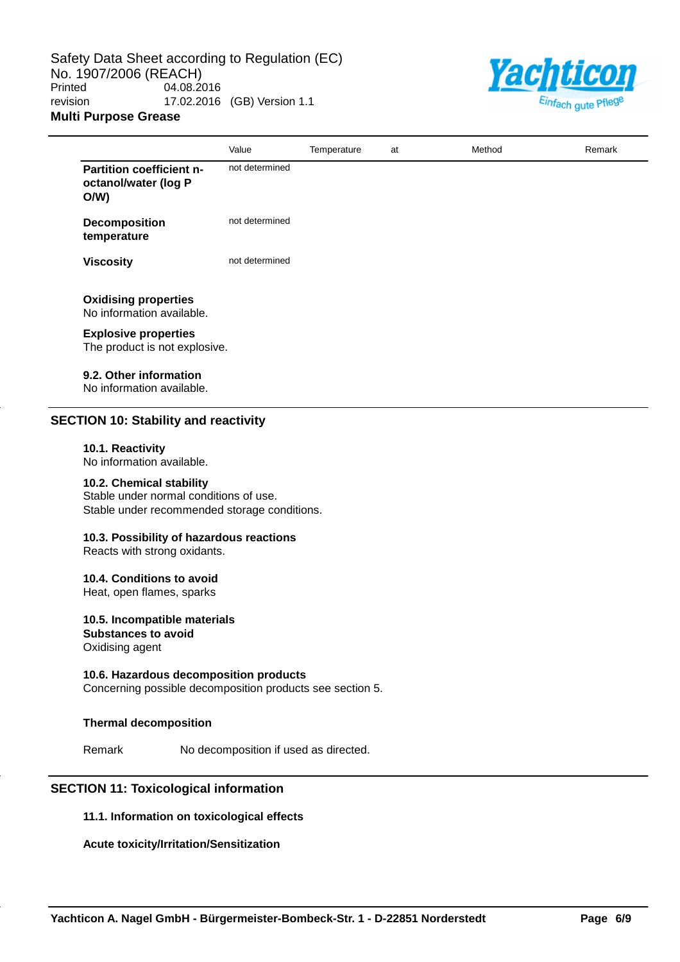

|                                                                | Value          | Temperature | at | Method | Remark |
|----------------------------------------------------------------|----------------|-------------|----|--------|--------|
| <b>Partition coefficient n-</b><br>octanol/water (log P<br>O/W | not determined |             |    |        |        |
| <b>Decomposition</b><br>temperature                            | not determined |             |    |        |        |
| <b>Viscosity</b>                                               | not determined |             |    |        |        |
| <b>Oxidising properties</b><br>No information available.       |                |             |    |        |        |
| <b>Explosive properties</b><br>The product is not explosive.   |                |             |    |        |        |

# **9.2. Other information**

No information available.

# **SECTION 10: Stability and reactivity**

### **10.1. Reactivity**

No information available.

# **10.2. Chemical stability**

Stable under normal conditions of use. Stable under recommended storage conditions.

# **10.3. Possibility of hazardous reactions**

Reacts with strong oxidants.

## **10.4. Conditions to avoid**

Heat, open flames, sparks

**10.5. Incompatible materials Substances to avoid** Oxidising agent

# **10.6. Hazardous decomposition products**

Concerning possible decomposition products see section 5.

# **Thermal decomposition**

Remark No decomposition if used as directed.

# **SECTION 11: Toxicological information**

## **11.1. Information on toxicological effects**

# **Acute toxicity/Irritation/Sensitization**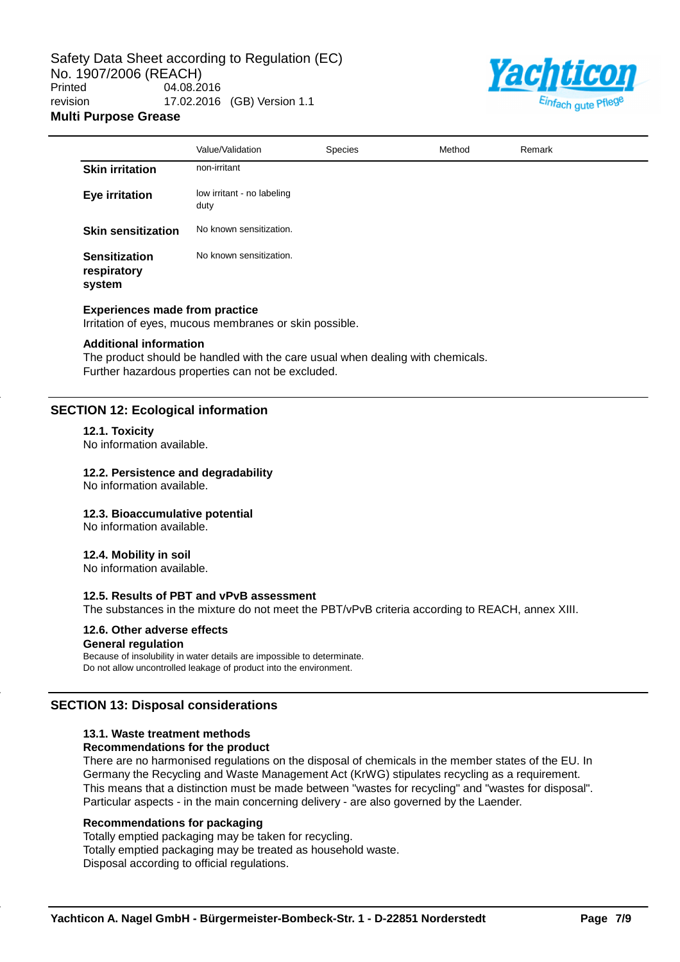

|                                               | Value/Validation                   | <b>Species</b> | Method | Remark |
|-----------------------------------------------|------------------------------------|----------------|--------|--------|
| <b>Skin irritation</b>                        | non-irritant                       |                |        |        |
| <b>Eye irritation</b>                         | low irritant - no labeling<br>duty |                |        |        |
| <b>Skin sensitization</b>                     | No known sensitization.            |                |        |        |
| <b>Sensitization</b><br>respiratory<br>system | No known sensitization.            |                |        |        |

### **Experiences made from practice**

Irritation of eyes, mucous membranes or skin possible.

### **Additional information**

The product should be handled with the care usual when dealing with chemicals. Further hazardous properties can not be excluded.

### **SECTION 12: Ecological information**

### **12.1. Toxicity**

No information available.

### **12.2. Persistence and degradability**

No information available.

### **12.3. Bioaccumulative potential**

No information available.

### **12.4. Mobility in soil**

No information available.

# **12.5. Results of PBT and vPvB assessment**

The substances in the mixture do not meet the PBT/vPvB criteria according to REACH, annex XIII.

# **12.6. Other adverse effects**

# **General regulation**

Because of insolubility in water details are impossible to determinate. Do not allow uncontrolled leakage of product into the environment.

# **SECTION 13: Disposal considerations**

# **13.1. Waste treatment methods**

# **Recommendations for the product**

There are no harmonised regulations on the disposal of chemicals in the member states of the EU. In Germany the Recycling and Waste Management Act (KrWG) stipulates recycling as a requirement. This means that a distinction must be made between "wastes for recycling" and "wastes for disposal". Particular aspects - in the main concerning delivery - are also governed by the Laender.

### **Recommendations for packaging**

Totally emptied packaging may be taken for recycling. Totally emptied packaging may be treated as household waste. Disposal according to official regulations.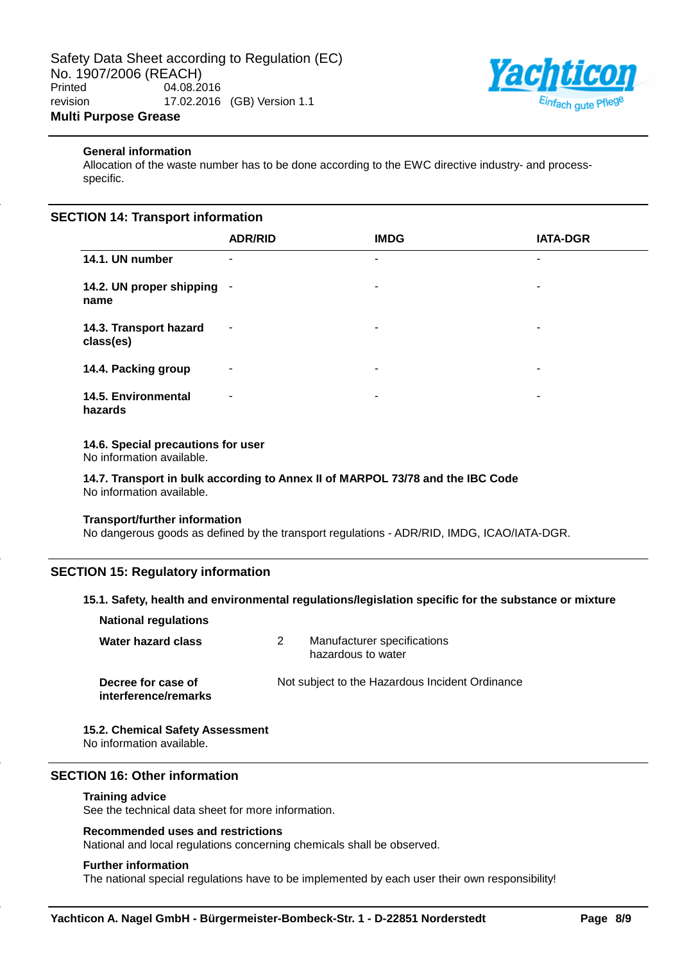

# **General information**

Allocation of the waste number has to be done according to the EWC directive industry- and processspecific.

# **SECTION 14: Transport information**

|                                     | <b>ADR/RID</b> | <b>IMDG</b>              | <b>IATA-DGR</b> |
|-------------------------------------|----------------|--------------------------|-----------------|
| 14.1. UN number                     | ۰              | ۰                        | ۰               |
| 14.2. UN proper shipping<br>name    | $\blacksquare$ | ۰                        | ۰               |
| 14.3. Transport hazard<br>class(es) | ٠              | $\overline{\phantom{a}}$ | ۰               |
| 14.4. Packing group                 | $\blacksquare$ | ۰                        | ۰               |
| 14.5. Environmental<br>hazards      | ۰              | ۰                        | ۰               |

# **14.6. Special precautions for user**

No information available.

**14.7. Transport in bulk according to Annex II of MARPOL 73/78 and the IBC Code** No information available.

### **Transport/further information**

No dangerous goods as defined by the transport regulations - ADR/RID, IMDG, ICAO/IATA-DGR.

# **SECTION 15: Regulatory information**

## **15.1. Safety, health and environmental regulations/legislation specific for the substance or mixture**

| <b>National regulations</b>                |                                                   |
|--------------------------------------------|---------------------------------------------------|
| Water hazard class                         | Manufacturer specifications<br>hazardous to water |
| Decree for case of<br>interference/remarks | Not subject to the Hazardous Incident Ordinance   |

# **15.2. Chemical Safety Assessment**

No information available.

# **SECTION 16: Other information**

### **Training advice**

See the technical data sheet for more information.

# **Recommended uses and restrictions**

National and local regulations concerning chemicals shall be observed.

### **Further information**

The national special regulations have to be implemented by each user their own responsibility!